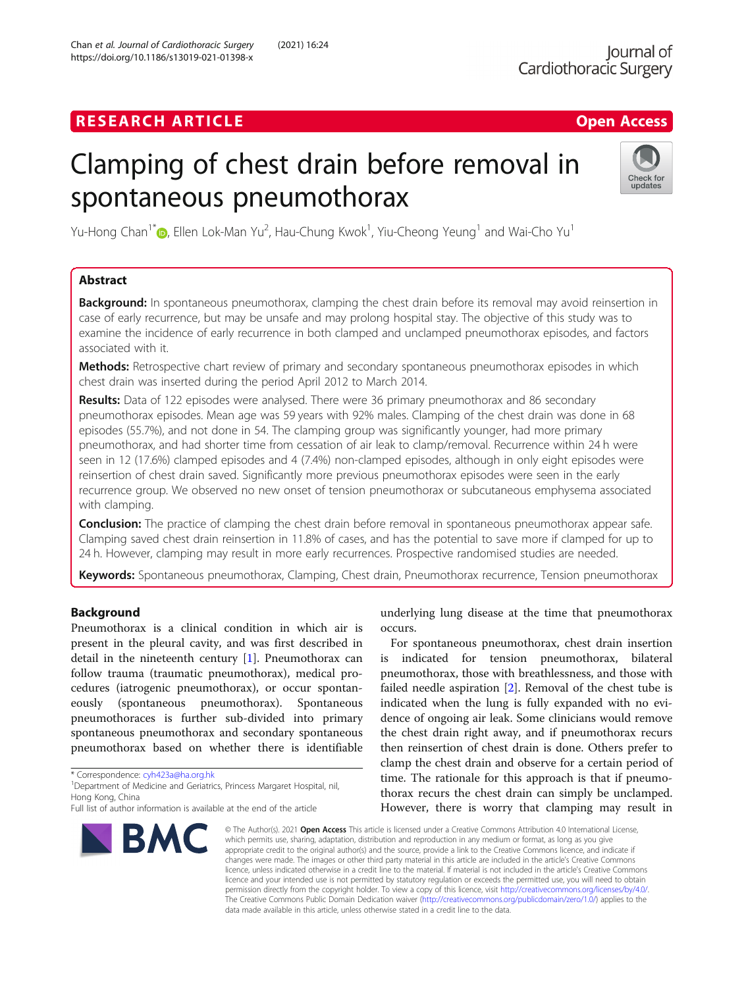# **RESEARCH ARTICLE Example 2018 12:30 The Contract of Contract ACCESS**

# Clamping of chest drain before removal in spontaneous pneumothorax



Yu-Hong Chan $^1$ ®, Ellen Lok-Man Yu $^2$ , Hau-Chung Kwok $^1$ , Yiu-Cheong Yeung $^1$  and Wai-Cho Yu $^1$ 

# Abstract

**Background:** In spontaneous pneumothorax, clamping the chest drain before its removal may avoid reinsertion in case of early recurrence, but may be unsafe and may prolong hospital stay. The objective of this study was to examine the incidence of early recurrence in both clamped and unclamped pneumothorax episodes, and factors associated with it.

Methods: Retrospective chart review of primary and secondary spontaneous pneumothorax episodes in which chest drain was inserted during the period April 2012 to March 2014.

Results: Data of 122 episodes were analysed. There were 36 primary pneumothorax and 86 secondary pneumothorax episodes. Mean age was 59 years with 92% males. Clamping of the chest drain was done in 68 episodes (55.7%), and not done in 54. The clamping group was significantly younger, had more primary pneumothorax, and had shorter time from cessation of air leak to clamp/removal. Recurrence within 24 h were seen in 12 (17.6%) clamped episodes and 4 (7.4%) non-clamped episodes, although in only eight episodes were reinsertion of chest drain saved. Significantly more previous pneumothorax episodes were seen in the early recurrence group. We observed no new onset of tension pneumothorax or subcutaneous emphysema associated with clamping.

**Conclusion:** The practice of clamping the chest drain before removal in spontaneous pneumothorax appear safe. Clamping saved chest drain reinsertion in 11.8% of cases, and has the potential to save more if clamped for up to 24 h. However, clamping may result in more early recurrences. Prospective randomised studies are needed.

Keywords: Spontaneous pneumothorax, Clamping, Chest drain, Pneumothorax recurrence, Tension pneumothorax

# Background

Pneumothorax is a clinical condition in which air is present in the pleural cavity, and was first described in detail in the nineteenth century [[1\]](#page-6-0). Pneumothorax can follow trauma (traumatic pneumothorax), medical procedures (iatrogenic pneumothorax), or occur spontaneously (spontaneous pneumothorax). Spontaneous pneumothoraces is further sub-divided into primary spontaneous pneumothorax and secondary spontaneous pneumothorax based on whether there is identifiable

\* Correspondence: [cyh423a@ha.org.hk](mailto:cyh423a@ha.org.hk) <sup>1</sup>

<sup>1</sup>Department of Medicine and Geriatrics, Princess Margaret Hospital, nil, Hong Kong, China

Full list of author information is available at the end of the article



underlying lung disease at the time that pneumothorax occurs.

For spontaneous pneumothorax, chest drain insertion is indicated for tension pneumothorax, bilateral pneumothorax, those with breathlessness, and those with failed needle aspiration [[2\]](#page-6-0). Removal of the chest tube is indicated when the lung is fully expanded with no evidence of ongoing air leak. Some clinicians would remove the chest drain right away, and if pneumothorax recurs then reinsertion of chest drain is done. Others prefer to clamp the chest drain and observe for a certain period of time. The rationale for this approach is that if pneumothorax recurs the chest drain can simply be unclamped. However, there is worry that clamping may result in

© The Author(s), 2021 **Open Access** This article is licensed under a Creative Commons Attribution 4.0 International License, which permits use, sharing, adaptation, distribution and reproduction in any medium or format, as long as you give appropriate credit to the original author(s) and the source, provide a link to the Creative Commons licence, and indicate if changes were made. The images or other third party material in this article are included in the article's Creative Commons licence, unless indicated otherwise in a credit line to the material. If material is not included in the article's Creative Commons licence and your intended use is not permitted by statutory regulation or exceeds the permitted use, you will need to obtain permission directly from the copyright holder. To view a copy of this licence, visit [http://creativecommons.org/licenses/by/4.0/.](http://creativecommons.org/licenses/by/4.0/) The Creative Commons Public Domain Dedication waiver [\(http://creativecommons.org/publicdomain/zero/1.0/](http://creativecommons.org/publicdomain/zero/1.0/)) applies to the data made available in this article, unless otherwise stated in a credit line to the data.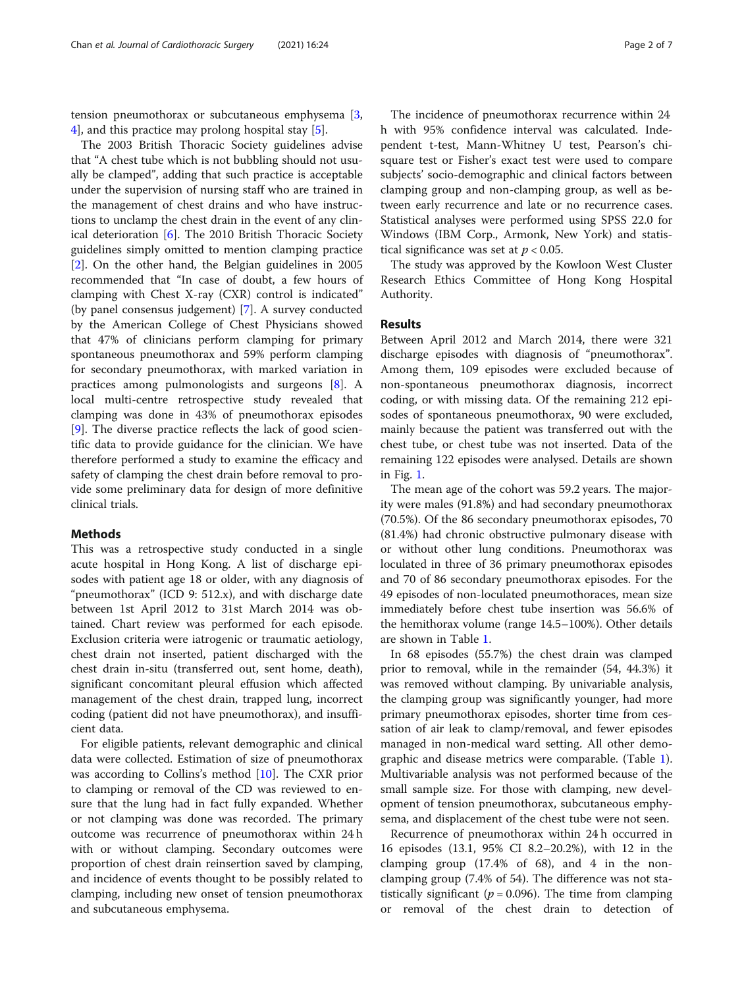tension pneumothorax or subcutaneous emphysema [\[3](#page-6-0), [4\]](#page-6-0), and this practice may prolong hospital stay [\[5](#page-6-0)].

The 2003 British Thoracic Society guidelines advise that "A chest tube which is not bubbling should not usually be clamped", adding that such practice is acceptable under the supervision of nursing staff who are trained in the management of chest drains and who have instructions to unclamp the chest drain in the event of any clinical deterioration [[6\]](#page-6-0). The 2010 British Thoracic Society guidelines simply omitted to mention clamping practice [[2\]](#page-6-0). On the other hand, the Belgian guidelines in 2005 recommended that "In case of doubt, a few hours of clamping with Chest X-ray (CXR) control is indicated" (by panel consensus judgement) [\[7](#page-6-0)]. A survey conducted by the American College of Chest Physicians showed that 47% of clinicians perform clamping for primary spontaneous pneumothorax and 59% perform clamping for secondary pneumothorax, with marked variation in practices among pulmonologists and surgeons [\[8](#page-6-0)]. A local multi-centre retrospective study revealed that clamping was done in 43% of pneumothorax episodes [[9\]](#page-6-0). The diverse practice reflects the lack of good scientific data to provide guidance for the clinician. We have therefore performed a study to examine the efficacy and safety of clamping the chest drain before removal to provide some preliminary data for design of more definitive clinical trials.

# **Methods**

This was a retrospective study conducted in a single acute hospital in Hong Kong. A list of discharge episodes with patient age 18 or older, with any diagnosis of "pneumothorax" (ICD 9: 512.x), and with discharge date between 1st April 2012 to 31st March 2014 was obtained. Chart review was performed for each episode. Exclusion criteria were iatrogenic or traumatic aetiology, chest drain not inserted, patient discharged with the chest drain in-situ (transferred out, sent home, death), significant concomitant pleural effusion which affected management of the chest drain, trapped lung, incorrect coding (patient did not have pneumothorax), and insufficient data.

For eligible patients, relevant demographic and clinical data were collected. Estimation of size of pneumothorax was according to Collins's method [[10\]](#page-6-0). The CXR prior to clamping or removal of the CD was reviewed to ensure that the lung had in fact fully expanded. Whether or not clamping was done was recorded. The primary outcome was recurrence of pneumothorax within 24 h with or without clamping. Secondary outcomes were proportion of chest drain reinsertion saved by clamping, and incidence of events thought to be possibly related to clamping, including new onset of tension pneumothorax and subcutaneous emphysema.

The incidence of pneumothorax recurrence within 24 h with 95% confidence interval was calculated. Independent t-test, Mann-Whitney U test, Pearson's chisquare test or Fisher's exact test were used to compare subjects' socio-demographic and clinical factors between clamping group and non-clamping group, as well as between early recurrence and late or no recurrence cases. Statistical analyses were performed using SPSS 22.0 for Windows (IBM Corp., Armonk, New York) and statistical significance was set at  $p < 0.05$ .

The study was approved by the Kowloon West Cluster Research Ethics Committee of Hong Kong Hospital Authority.

# Results

Between April 2012 and March 2014, there were 321 discharge episodes with diagnosis of "pneumothorax". Among them, 109 episodes were excluded because of non-spontaneous pneumothorax diagnosis, incorrect coding, or with missing data. Of the remaining 212 episodes of spontaneous pneumothorax, 90 were excluded, mainly because the patient was transferred out with the chest tube, or chest tube was not inserted. Data of the remaining 122 episodes were analysed. Details are shown in Fig. [1](#page-2-0).

The mean age of the cohort was 59.2 years. The majority were males (91.8%) and had secondary pneumothorax (70.5%). Of the 86 secondary pneumothorax episodes, 70 (81.4%) had chronic obstructive pulmonary disease with or without other lung conditions. Pneumothorax was loculated in three of 36 primary pneumothorax episodes and 70 of 86 secondary pneumothorax episodes. For the 49 episodes of non-loculated pneumothoraces, mean size immediately before chest tube insertion was 56.6% of the hemithorax volume (range 14.5–100%). Other details are shown in Table [1](#page-3-0).

In 68 episodes (55.7%) the chest drain was clamped prior to removal, while in the remainder (54, 44.3%) it was removed without clamping. By univariable analysis, the clamping group was significantly younger, had more primary pneumothorax episodes, shorter time from cessation of air leak to clamp/removal, and fewer episodes managed in non-medical ward setting. All other demographic and disease metrics were comparable. (Table [1](#page-3-0)). Multivariable analysis was not performed because of the small sample size. For those with clamping, new development of tension pneumothorax, subcutaneous emphysema, and displacement of the chest tube were not seen.

Recurrence of pneumothorax within 24 h occurred in 16 episodes (13.1, 95% CI 8.2–20.2%), with 12 in the clamping group  $(17.4\% \text{ of } 68)$ , and 4 in the nonclamping group (7.4% of 54). The difference was not statistically significant ( $p = 0.096$ ). The time from clamping or removal of the chest drain to detection of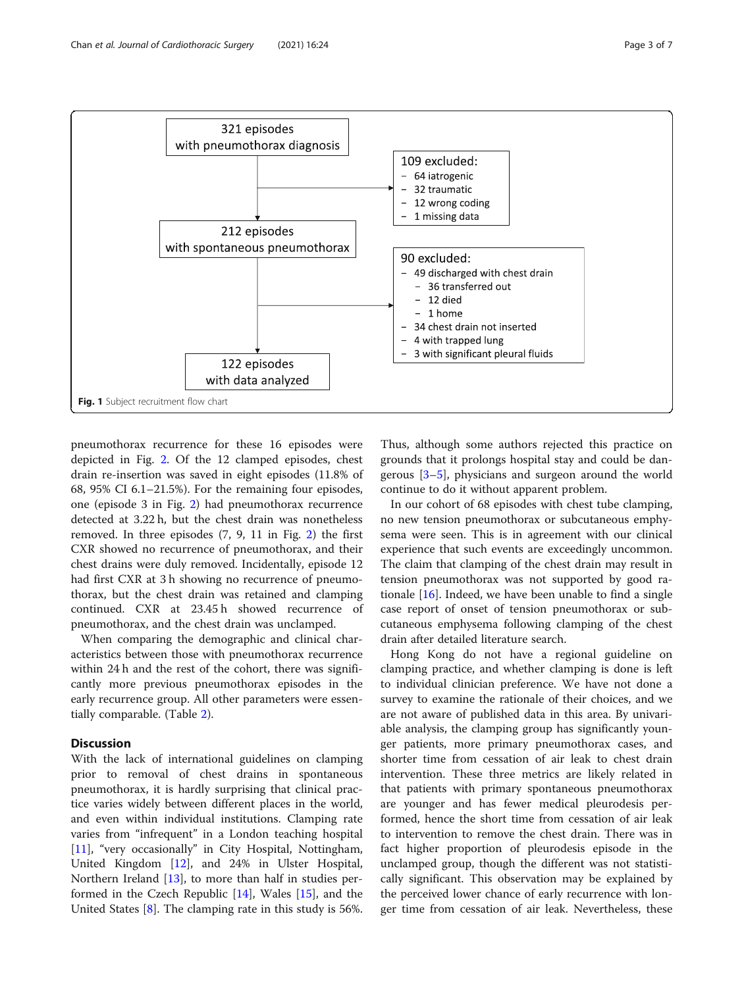<span id="page-2-0"></span>

pneumothorax recurrence for these 16 episodes were depicted in Fig. [2.](#page-4-0) Of the 12 clamped episodes, chest drain re-insertion was saved in eight episodes (11.8% of 68, 95% CI 6.1–21.5%). For the remaining four episodes, one (episode 3 in Fig. [2\)](#page-4-0) had pneumothorax recurrence detected at 3.22 h, but the chest drain was nonetheless removed. In three episodes (7, 9, 11 in Fig. [2](#page-4-0)) the first CXR showed no recurrence of pneumothorax, and their chest drains were duly removed. Incidentally, episode 12 had first CXR at 3 h showing no recurrence of pneumothorax, but the chest drain was retained and clamping continued. CXR at 23.45 h showed recurrence of pneumothorax, and the chest drain was unclamped.

When comparing the demographic and clinical characteristics between those with pneumothorax recurrence within 24 h and the rest of the cohort, there was significantly more previous pneumothorax episodes in the early recurrence group. All other parameters were essentially comparable. (Table [2\)](#page-5-0).

# **Discussion**

With the lack of international guidelines on clamping prior to removal of chest drains in spontaneous pneumothorax, it is hardly surprising that clinical practice varies widely between different places in the world, and even within individual institutions. Clamping rate varies from "infrequent" in a London teaching hospital [[11\]](#page-6-0), "very occasionally" in City Hospital, Nottingham, United Kingdom [[12](#page-6-0)], and 24% in Ulster Hospital, Northern Ireland [\[13](#page-6-0)], to more than half in studies performed in the Czech Republic [\[14](#page-6-0)], Wales [\[15\]](#page-6-0), and the United States [[8\]](#page-6-0). The clamping rate in this study is 56%.

Thus, although some authors rejected this practice on grounds that it prolongs hospital stay and could be dangerous [[3](#page-6-0)–[5\]](#page-6-0), physicians and surgeon around the world continue to do it without apparent problem.

In our cohort of 68 episodes with chest tube clamping, no new tension pneumothorax or subcutaneous emphysema were seen. This is in agreement with our clinical experience that such events are exceedingly uncommon. The claim that clamping of the chest drain may result in tension pneumothorax was not supported by good rationale [\[16](#page-6-0)]. Indeed, we have been unable to find a single case report of onset of tension pneumothorax or subcutaneous emphysema following clamping of the chest drain after detailed literature search.

Hong Kong do not have a regional guideline on clamping practice, and whether clamping is done is left to individual clinician preference. We have not done a survey to examine the rationale of their choices, and we are not aware of published data in this area. By univariable analysis, the clamping group has significantly younger patients, more primary pneumothorax cases, and shorter time from cessation of air leak to chest drain intervention. These three metrics are likely related in that patients with primary spontaneous pneumothorax are younger and has fewer medical pleurodesis performed, hence the short time from cessation of air leak to intervention to remove the chest drain. There was in fact higher proportion of pleurodesis episode in the unclamped group, though the different was not statistically significant. This observation may be explained by the perceived lower chance of early recurrence with longer time from cessation of air leak. Nevertheless, these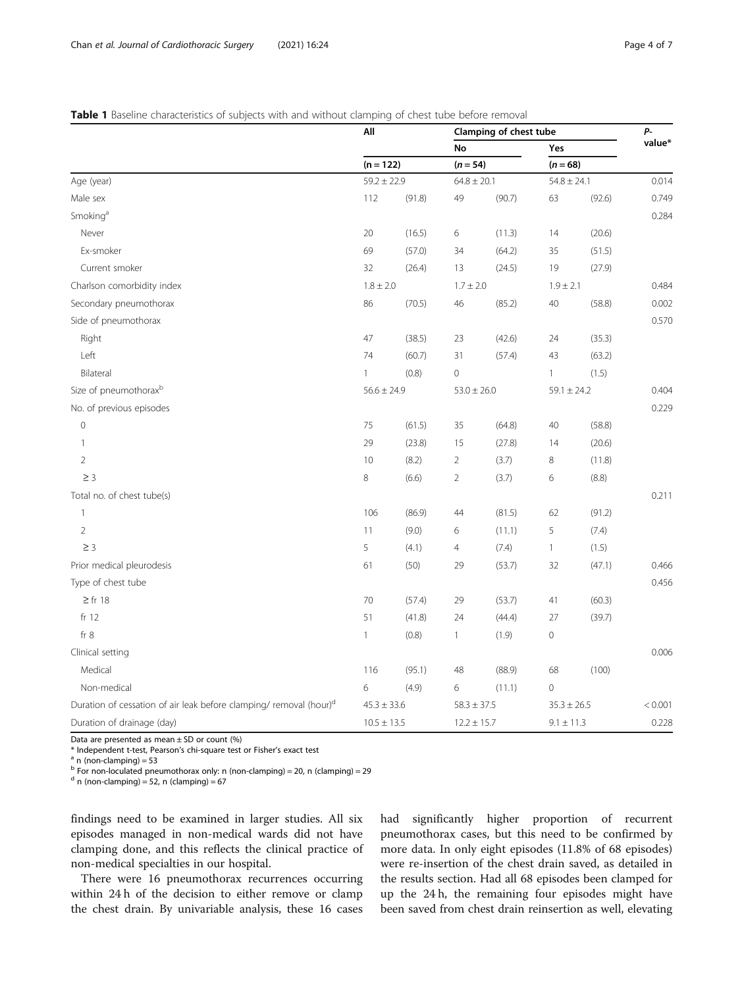# <span id="page-3-0"></span>Table 1 Baseline characteristics of subjects with and without clamping of chest tube before removal

|                                                                               | All             |                                | Clamping of chest tube |                                            |                 |                                      | <b>P</b> -<br>value* |                      |     |        |    |        |    |        |       |
|-------------------------------------------------------------------------------|-----------------|--------------------------------|------------------------|--------------------------------------------|-----------------|--------------------------------------|----------------------|----------------------|-----|--------|----|--------|----|--------|-------|
| Age (year)                                                                    |                 | $(n = 122)$<br>$59.2 \pm 22.9$ |                        | <b>No</b><br>$(n = 54)$<br>$64.8 \pm 20.1$ |                 | Yes<br>$(n = 68)$<br>$54.8 \pm 24.1$ |                      |                      |     |        |    |        |    |        |       |
|                                                                               |                 |                                |                        |                                            |                 |                                      |                      | Male sex             | 112 | (91.8) | 49 | (90.7) | 63 | (92.6) | 0.749 |
|                                                                               |                 |                                |                        |                                            |                 |                                      |                      | Smoking <sup>a</sup> |     |        |    |        |    |        | 0.284 |
| Never                                                                         | 20              | (16.5)                         | 6                      | (11.3)                                     | 14              | (20.6)                               |                      |                      |     |        |    |        |    |        |       |
| Ex-smoker                                                                     | 69              | (57.0)                         | 34                     | (64.2)                                     | 35              | (51.5)                               |                      |                      |     |        |    |        |    |        |       |
| Current smoker                                                                | 32              | (26.4)                         | 13                     | (24.5)                                     | 19              | (27.9)                               |                      |                      |     |        |    |        |    |        |       |
| Charlson comorbidity index                                                    | $1.8 \pm 2.0$   |                                | $1.7 \pm 2.0$          |                                            | $1.9 \pm 2.1$   |                                      | 0.484                |                      |     |        |    |        |    |        |       |
| Secondary pneumothorax                                                        | 86              | (70.5)                         | 46                     | (85.2)                                     | 40              | (58.8)                               | 0.002                |                      |     |        |    |        |    |        |       |
| Side of pneumothorax                                                          |                 |                                |                        |                                            |                 |                                      | 0.570                |                      |     |        |    |        |    |        |       |
| Right                                                                         | 47              | (38.5)                         | 23                     | (42.6)                                     | 24              | (35.3)                               |                      |                      |     |        |    |        |    |        |       |
| Left                                                                          | 74              | (60.7)                         | 31                     | (57.4)                                     | 43              | (63.2)                               |                      |                      |     |        |    |        |    |        |       |
| Bilateral                                                                     | 1               | (0.8)                          | 0                      |                                            | $\mathbf{1}$    | (1.5)                                |                      |                      |     |        |    |        |    |        |       |
| Size of pneumothorax <sup>b</sup>                                             | $56.6 \pm 24.9$ |                                | $53.0 \pm 26.0$        |                                            | $59.1 \pm 24.2$ |                                      | 0.404                |                      |     |        |    |        |    |        |       |
| No. of previous episodes                                                      |                 |                                |                        |                                            |                 |                                      | 0.229                |                      |     |        |    |        |    |        |       |
| $\mathbb O$                                                                   | 75              | (61.5)                         | 35                     | (64.8)                                     | 40              | (58.8)                               |                      |                      |     |        |    |        |    |        |       |
| $\mathbf{1}$                                                                  | 29              | (23.8)                         | 15                     | (27.8)                                     | 14              | (20.6)                               |                      |                      |     |        |    |        |    |        |       |
| $\overline{2}$                                                                | 10              | (8.2)                          | $\overline{2}$         | (3.7)                                      | 8               | (11.8)                               |                      |                      |     |        |    |        |    |        |       |
| $\geq$ 3                                                                      | 8               | (6.6)                          | $\overline{2}$         | (3.7)                                      | $\,$ 6 $\,$     | (8.8)                                |                      |                      |     |        |    |        |    |        |       |
| Total no. of chest tube(s)                                                    |                 |                                |                        |                                            |                 |                                      | 0.211                |                      |     |        |    |        |    |        |       |
| 1                                                                             | 106             | (86.9)                         | 44                     | (81.5)                                     | 62              | (91.2)                               |                      |                      |     |        |    |        |    |        |       |
| $\overline{2}$                                                                | 11              | (9.0)                          | 6                      | (11.1)                                     | 5               | (7.4)                                |                      |                      |     |        |    |        |    |        |       |
| $\geq$ 3                                                                      | 5               | (4.1)                          | 4                      | (7.4)                                      | $\mathbf{1}$    | (1.5)                                |                      |                      |     |        |    |        |    |        |       |
| Prior medical pleurodesis                                                     | 61              | (50)                           | 29                     | (53.7)                                     | 32              | (47.1)                               | 0.466                |                      |     |        |    |        |    |        |       |
| Type of chest tube                                                            |                 |                                |                        |                                            |                 |                                      | 0.456                |                      |     |        |    |        |    |        |       |
| $\geq$ fr 18                                                                  | 70              | (57.4)                         | 29                     | (53.7)                                     | 41              | (60.3)                               |                      |                      |     |        |    |        |    |        |       |
| fr <sub>12</sub>                                                              | 51              | (41.8)                         | 24                     | (44.4)                                     | 27              | (39.7)                               |                      |                      |     |        |    |        |    |        |       |
| fr 8                                                                          | $\mathbf{1}$    | (0.8)                          | 1                      | (1.9)                                      | $\mathbf 0$     |                                      |                      |                      |     |        |    |        |    |        |       |
| Clinical setting                                                              |                 |                                |                        |                                            |                 |                                      | 0.006                |                      |     |        |    |        |    |        |       |
| Medical                                                                       | 116             | (95.1)                         | 48                     | (88.9)                                     | 68              | (100)                                |                      |                      |     |        |    |        |    |        |       |
| Non-medical                                                                   | 6               | (4.9)                          | 6                      | (11.1)                                     | 0               |                                      |                      |                      |     |        |    |        |    |        |       |
| Duration of cessation of air leak before clamping/removal (hour) <sup>d</sup> |                 | $45.3 \pm 33.6$                |                        | $58.3 \pm 37.5$                            |                 | $35.3 \pm 26.5$                      |                      |                      |     |        |    |        |    |        |       |
| Duration of drainage (day)                                                    | $10.5 \pm 13.5$ |                                | $12.2 \pm 15.7$        |                                            | $9.1 \pm 11.3$  |                                      | 0.228                |                      |     |        |    |        |    |        |       |

Data are presented as mean  $\pm$  SD or count (%)

\* Independent t-test, Pearson's chi-square test or Fisher's exact test  $a$  n (non-clamping) = 53

b For non-loculated pneumothorax only: n (non-clamping) = 20, n (clamping) = 29

 $<sup>d</sup>$  n (non-clamping) = 52, n (clamping) = 67</sup>

findings need to be examined in larger studies. All six episodes managed in non-medical wards did not have clamping done, and this reflects the clinical practice of non-medical specialties in our hospital.

There were 16 pneumothorax recurrences occurring within 24 h of the decision to either remove or clamp the chest drain. By univariable analysis, these 16 cases

had significantly higher proportion of recurrent pneumothorax cases, but this need to be confirmed by more data. In only eight episodes (11.8% of 68 episodes) were re-insertion of the chest drain saved, as detailed in the results section. Had all 68 episodes been clamped for up the 24 h, the remaining four episodes might have been saved from chest drain reinsertion as well, elevating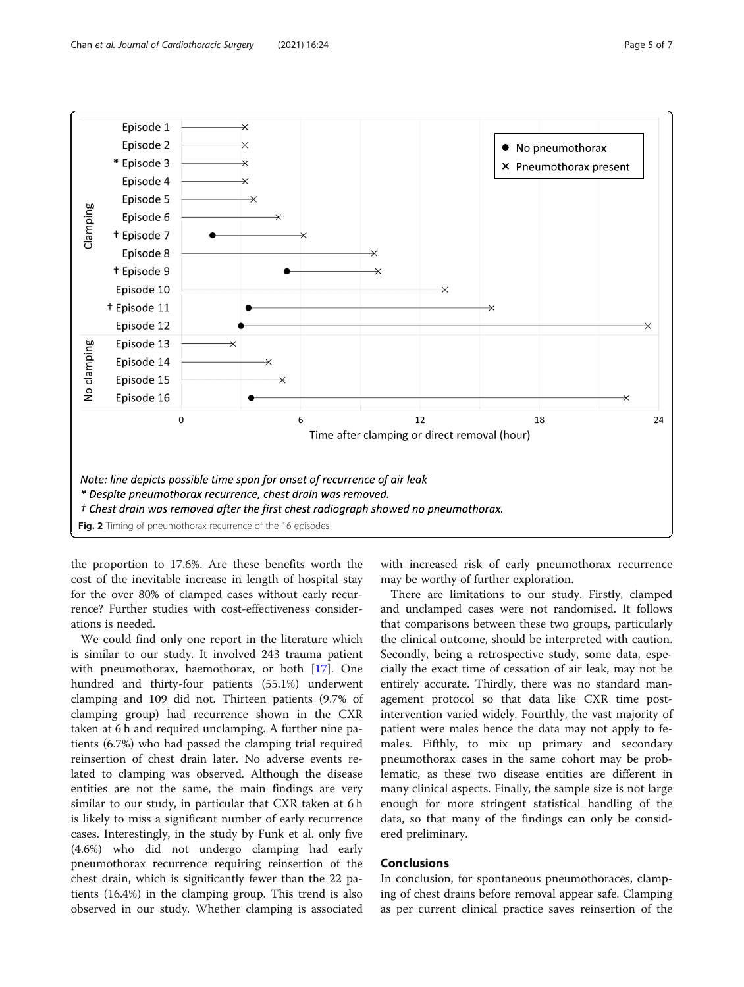

<span id="page-4-0"></span>

the proportion to 17.6%. Are these benefits worth the cost of the inevitable increase in length of hospital stay for the over 80% of clamped cases without early recurrence? Further studies with cost-effectiveness considerations is needed.

We could find only one report in the literature which is similar to our study. It involved 243 trauma patient with pneumothorax, haemothorax, or both [\[17](#page-6-0)]. One hundred and thirty-four patients (55.1%) underwent clamping and 109 did not. Thirteen patients (9.7% of clamping group) had recurrence shown in the CXR taken at 6 h and required unclamping. A further nine patients (6.7%) who had passed the clamping trial required reinsertion of chest drain later. No adverse events related to clamping was observed. Although the disease entities are not the same, the main findings are very similar to our study, in particular that CXR taken at 6 h is likely to miss a significant number of early recurrence cases. Interestingly, in the study by Funk et al. only five (4.6%) who did not undergo clamping had early pneumothorax recurrence requiring reinsertion of the chest drain, which is significantly fewer than the 22 patients (16.4%) in the clamping group. This trend is also observed in our study. Whether clamping is associated

with increased risk of early pneumothorax recurrence may be worthy of further exploration.

There are limitations to our study. Firstly, clamped and unclamped cases were not randomised. It follows that comparisons between these two groups, particularly the clinical outcome, should be interpreted with caution. Secondly, being a retrospective study, some data, especially the exact time of cessation of air leak, may not be entirely accurate. Thirdly, there was no standard management protocol so that data like CXR time postintervention varied widely. Fourthly, the vast majority of patient were males hence the data may not apply to females. Fifthly, to mix up primary and secondary pneumothorax cases in the same cohort may be problematic, as these two disease entities are different in many clinical aspects. Finally, the sample size is not large enough for more stringent statistical handling of the data, so that many of the findings can only be considered preliminary.

# **Conclusions**

In conclusion, for spontaneous pneumothoraces, clamping of chest drains before removal appear safe. Clamping as per current clinical practice saves reinsertion of the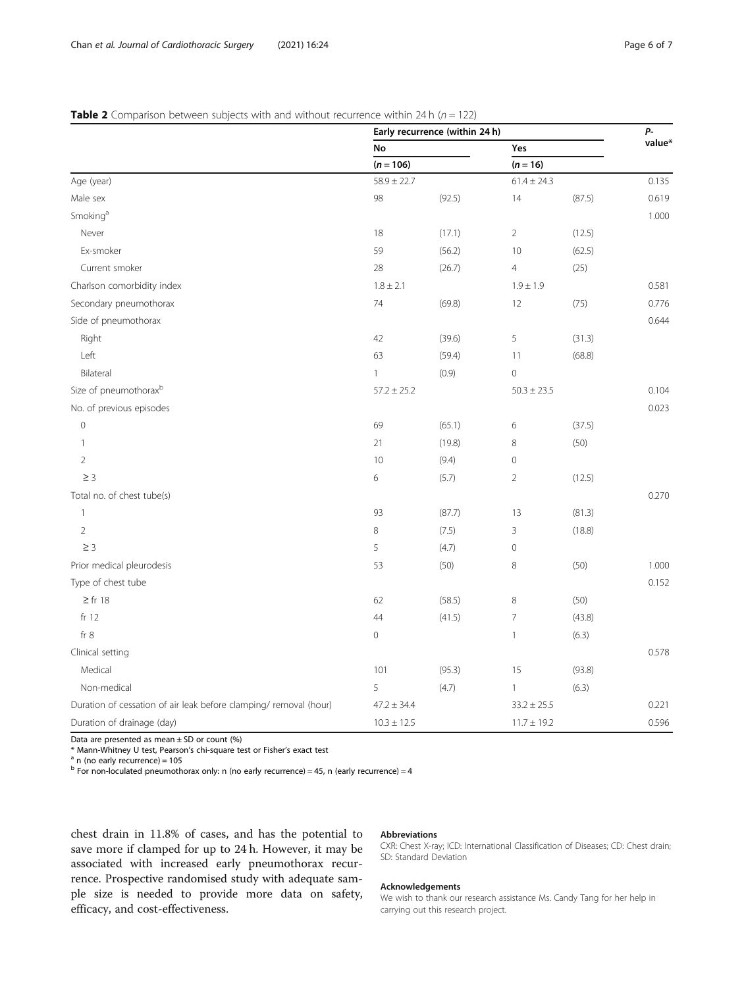# <span id="page-5-0"></span>**Table 2** Comparison between subjects with and without recurrence within 24 h ( $n = 122$ )

|                                                                   | Early recurrence (within 24 h) |        |                 |                 |       |  |
|-------------------------------------------------------------------|--------------------------------|--------|-----------------|-----------------|-------|--|
|                                                                   | No                             |        | Yes             |                 |       |  |
|                                                                   | $(n = 106)$                    |        | $(n = 16)$      | $61.4 \pm 24.3$ |       |  |
| Age (year)                                                        | $58.9 \pm 22.7$                |        |                 |                 |       |  |
| Male sex                                                          | 98                             | (92.5) | 14              | (87.5)          | 0.619 |  |
| Smoking <sup>a</sup>                                              |                                |        |                 |                 | 1.000 |  |
| Never                                                             | 18                             | (17.1) | $\overline{2}$  | (12.5)          |       |  |
| Ex-smoker                                                         | 59                             | (56.2) | 10              | (62.5)          |       |  |
| Current smoker                                                    | 28                             | (26.7) | $\overline{4}$  | (25)            |       |  |
| Charlson comorbidity index                                        | $1.8 \pm 2.1$                  |        | $1.9 \pm 1.9$   |                 | 0.581 |  |
| Secondary pneumothorax                                            | 74                             | (69.8) | 12              | (75)            | 0.776 |  |
| Side of pneumothorax                                              |                                |        |                 |                 | 0.644 |  |
| Right                                                             | 42                             | (39.6) | 5               | (31.3)          |       |  |
| Left                                                              | 63                             | (59.4) | 11              | (68.8)          |       |  |
| Bilateral                                                         | $\mathbf{1}$                   | (0.9)  | $\mathbf 0$     |                 |       |  |
| Size of pneumothorax <sup>b</sup>                                 | $57.2 \pm 25.2$                |        | $50.3 \pm 23.5$ |                 | 0.104 |  |
| No. of previous episodes                                          |                                |        |                 |                 | 0.023 |  |
| $\mathbb O$                                                       | 69                             | (65.1) | 6               | (37.5)          |       |  |
| $\mathbf{1}$                                                      | 21                             | (19.8) | 8               | (50)            |       |  |
| $\overline{2}$                                                    | 10                             | (9.4)  | 0               |                 |       |  |
| $\geq$ 3                                                          | 6                              | (5.7)  | $\overline{2}$  | (12.5)          |       |  |
| Total no. of chest tube(s)                                        |                                |        |                 |                 | 0.270 |  |
| $\mathbf{1}$                                                      | 93                             | (87.7) | 13              | (81.3)          |       |  |
| $\overline{2}$                                                    | 8                              | (7.5)  | 3               | (18.8)          |       |  |
| $\geq$ 3                                                          | 5                              | (4.7)  | 0               |                 |       |  |
| Prior medical pleurodesis                                         | 53                             | (50)   | 8               | (50)            | 1.000 |  |
| Type of chest tube                                                |                                |        |                 |                 | 0.152 |  |
| $\geq$ fr 18                                                      | 62                             | (58.5) | 8               | (50)            |       |  |
| fr 12                                                             | 44                             | (41.5) | 7               | (43.8)          |       |  |
| fr 8                                                              | 0                              |        | $\mathbf{1}$    | (6.3)           |       |  |
| Clinical setting                                                  |                                |        |                 |                 | 0.578 |  |
| Medical                                                           | 101                            | (95.3) | 15              | (93.8)          |       |  |
| Non-medical                                                       | 5                              | (4.7)  | $\mathbf{1}$    | (6.3)           |       |  |
| Duration of cessation of air leak before clamping/ removal (hour) | $47.2 \pm 34.4$                |        | $33.2 \pm 25.5$ |                 | 0.221 |  |
| Duration of drainage (day)                                        | $10.3 \pm 12.5$                |        | $11.7 \pm 19.2$ |                 | 0.596 |  |

Data are presented as mean  $\pm$  SD or count (%)

\* Mann-Whitney U test, Pearson's chi-square test or Fisher's exact test  $a$  n (no early recurrence) = 105

 $\frac{b}{b}$  For non-loculated pneumothorax only: n (no early recurrence) = 45, n (early recurrence) = 4

chest drain in 11.8% of cases, and has the potential to save more if clamped for up to 24 h. However, it may be associated with increased early pneumothorax recurrence. Prospective randomised study with adequate sample size is needed to provide more data on safety, efficacy, and cost-effectiveness.

# Abbreviations

CXR: Chest X-ray; ICD: International Classification of Diseases; CD: Chest drain; SD: Standard Deviation

#### Acknowledgements

We wish to thank our research assistance Ms. Candy Tang for her help in carrying out this research project.